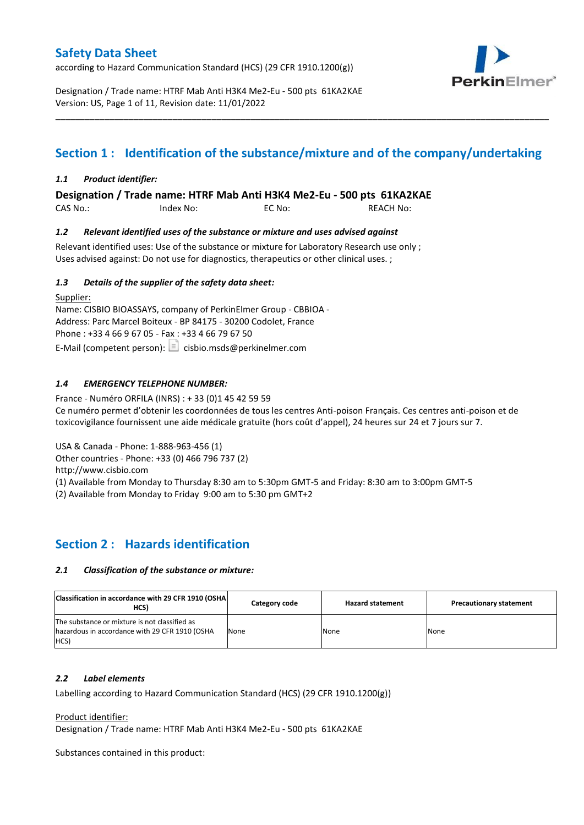according to Hazard Communication Standard (HCS) (29 CFR 1910.1200(g))



Designation / Trade name: HTRF Mab Anti H3K4 Me2-Eu - 500 pts 61KA2KAE Version: US, Page 1 of 11, Revision date: 11/01/2022

# **Section 1 : Identification of the substance/mixture and of the company/undertaking**

\_\_\_\_\_\_\_\_\_\_\_\_\_\_\_\_\_\_\_\_\_\_\_\_\_\_\_\_\_\_\_\_\_\_\_\_\_\_\_\_\_\_\_\_\_\_\_\_\_\_\_\_\_\_\_\_\_\_\_\_\_\_\_\_\_\_\_\_\_\_\_\_\_\_\_\_\_\_\_\_\_\_\_\_\_\_\_\_\_\_\_\_\_\_\_\_\_\_\_\_\_

### *1.1 Product identifier:*

**Designation / Trade name: HTRF Mab Anti H3K4 Me2-Eu - 500 pts 61KA2KAE** 

| CAS No.: | Index No: | EC No: | <b>REACH No:</b> |
|----------|-----------|--------|------------------|
|          |           |        |                  |

### *1.2 Relevant identified uses of the substance or mixture and uses advised against*

Relevant identified uses: Use of the substance or mixture for Laboratory Research use only ; Uses advised against: Do not use for diagnostics, therapeutics or other clinical uses. ;

### *1.3 Details of the supplier of the safety data sheet:*

Supplier: Name: CISBIO BIOASSAYS, company of PerkinElmer Group - CBBIOA - Address: Parc Marcel Boiteux - BP 84175 - 30200 Codolet, France Phone : +33 4 66 9 67 05 - Fax : +33 4 66 79 67 50 E-Mail (competent person):  $\boxed{\equiv}$  cisbio.msds@perkinelmer.com

## *1.4 EMERGENCY TELEPHONE NUMBER:*

France - Numéro ORFILA (INRS) : + 33 (0)1 45 42 59 59 Ce numéro permet d'obtenir les coordonnées de tous les centres Anti-poison Français. Ces centres anti-poison et de toxicovigilance fournissent une aide médicale gratuite (hors coût d'appel), 24 heures sur 24 et 7 jours sur 7.

USA & Canada - Phone: 1-888-963-456 (1)

Other countries - Phone: +33 (0) 466 796 737 (2)

http://www.cisbio.com

(1) Available from Monday to Thursday 8:30 am to 5:30pm GMT-5 and Friday: 8:30 am to 3:00pm GMT-5

(2) Available from Monday to Friday 9:00 am to 5:30 pm GMT+2

## **Section 2 : Hazards identification**

#### *2.1 Classification of the substance or mixture:*

| Classification in accordance with 29 CFR 1910 (OSHA)<br>HCS)                                                  | Category code | <b>Hazard statement</b> | <b>Precautionary statement</b> |
|---------------------------------------------------------------------------------------------------------------|---------------|-------------------------|--------------------------------|
| The substance or mixture is not classified as<br>hazardous in accordance with 29 CFR 1910 (OSHA<br><b>HCS</b> | None          | None                    | None                           |

#### *2.2 Label elements*

Labelling according to Hazard Communication Standard (HCS) (29 CFR 1910.1200(g))

Product identifier:

Designation / Trade name: HTRF Mab Anti H3K4 Me2-Eu - 500 pts 61KA2KAE

Substances contained in this product: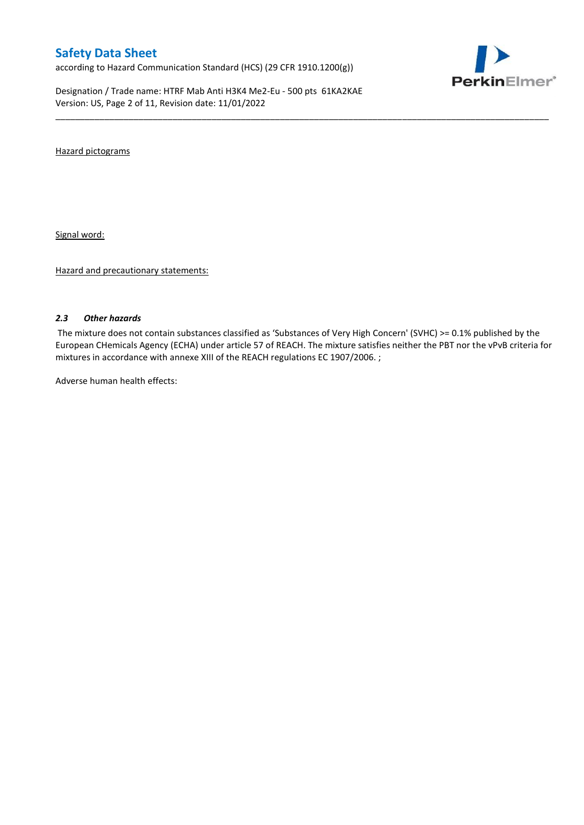according to Hazard Communication Standard (HCS) (29 CFR 1910.1200(g))

Designation / Trade name: HTRF Mab Anti H3K4 Me2-Eu - 500 pts 61KA2KAE Version: US, Page 2 of 11, Revision date: 11/01/2022



Hazard pictograms

Signal word:

Hazard and precautionary statements:

#### *2.3 Other hazards*

The mixture does not contain substances classified as 'Substances of Very High Concern' (SVHC) >= 0.1% published by the European CHemicals Agency (ECHA) under article 57 of REACH. The mixture satisfies neither the PBT nor the vPvB criteria for mixtures in accordance with annexe XIII of the REACH regulations EC 1907/2006. ;

\_\_\_\_\_\_\_\_\_\_\_\_\_\_\_\_\_\_\_\_\_\_\_\_\_\_\_\_\_\_\_\_\_\_\_\_\_\_\_\_\_\_\_\_\_\_\_\_\_\_\_\_\_\_\_\_\_\_\_\_\_\_\_\_\_\_\_\_\_\_\_\_\_\_\_\_\_\_\_\_\_\_\_\_\_\_\_\_\_\_\_\_\_\_\_\_\_\_\_\_\_

Adverse human health effects: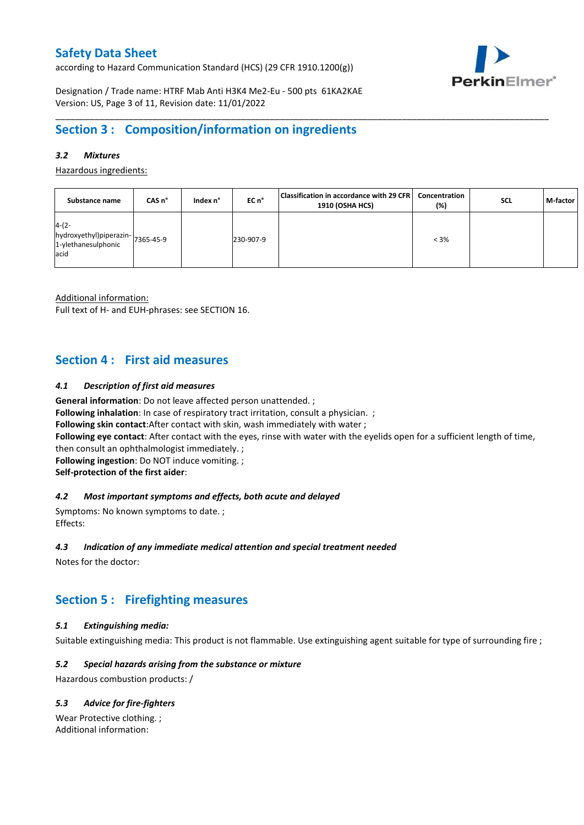according to Hazard Communication Standard (HCS) (29 CFR 1910.1200(g))



Designation / Trade name: HTRF Mab Anti H3K4 Me2-Eu - 500 pts 61KA2KAE Version: US, Page 3 of 11, Revision date: 11/01/2022

# **Section 3 : Composition/information on ingredients**

## *3.2 Mixtures*

Hazardous ingredients:

| Substance name                                                              | CAS <sub>n</sub> ° | Index n° | EC n°     | Classification in accordance with 29 CFR<br>1910 (OSHA HCS) | Concentration<br>(%) | <b>SCL</b> | M-factor |
|-----------------------------------------------------------------------------|--------------------|----------|-----------|-------------------------------------------------------------|----------------------|------------|----------|
| $4-(2-$<br>hydroxyethyl)piperazin-7365-45-9<br>1-ylethanesulphonic<br>lacid |                    |          | 230-907-9 |                                                             | $< 3\%$              |            |          |

\_\_\_\_\_\_\_\_\_\_\_\_\_\_\_\_\_\_\_\_\_\_\_\_\_\_\_\_\_\_\_\_\_\_\_\_\_\_\_\_\_\_\_\_\_\_\_\_\_\_\_\_\_\_\_\_\_\_\_\_\_\_\_\_\_\_\_\_\_\_\_\_\_\_\_\_\_\_\_\_\_\_\_\_\_\_\_\_\_\_\_\_\_\_\_\_\_\_\_\_\_

Additional information:

Full text of H- and EUH-phrases: see SECTION 16.

## **Section 4 : First aid measures**

### *4.1 Description of first aid measures*

**General information**: Do not leave affected person unattended. ;

**Following inhalation**: In case of respiratory tract irritation, consult a physician. ;

**Following skin contact**:After contact with skin, wash immediately with water ;

**Following eye contact**: After contact with the eyes, rinse with water with the eyelids open for a sufficient length of time,

then consult an ophthalmologist immediately. ;

**Following ingestion**: Do NOT induce vomiting. ;

**Self-protection of the first aider**:

### *4.2 Most important symptoms and effects, both acute and delayed*

Symptoms: No known symptoms to date. ; Effects:

#### *4.3 Indication of any immediate medical attention and special treatment needed*

Notes for the doctor:

## **Section 5 : Firefighting measures**

## *5.1 Extinguishing media:*

Suitable extinguishing media: This product is not flammable. Use extinguishing agent suitable for type of surrounding fire ;

## *5.2 Special hazards arising from the substance or mixture*

Hazardous combustion products: /

## *5.3 Advice for fire-fighters*

Wear Protective clothing. ; Additional information: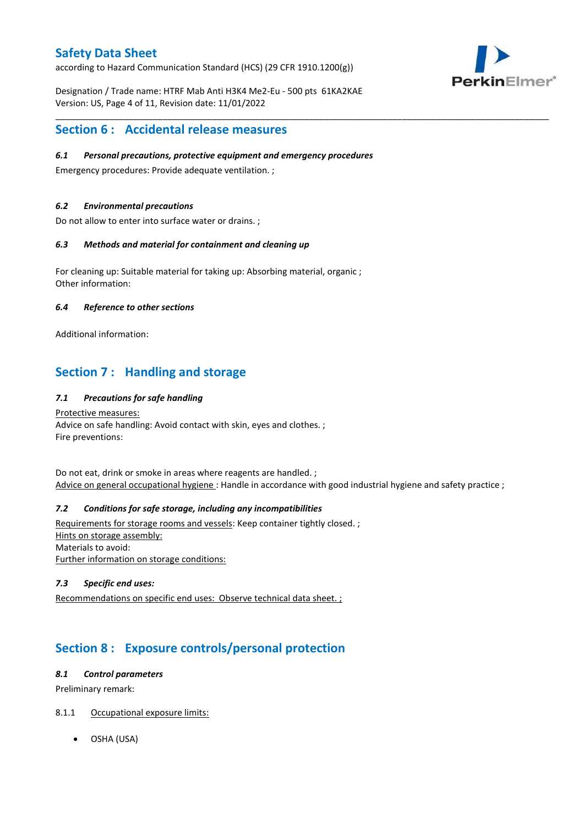according to Hazard Communication Standard (HCS) (29 CFR 1910.1200(g))



Designation / Trade name: HTRF Mab Anti H3K4 Me2-Eu - 500 pts 61KA2KAE Version: US, Page 4 of 11, Revision date: 11/01/2022

## **Section 6 : Accidental release measures**

### *6.1 Personal precautions, protective equipment and emergency procedures*

Emergency procedures: Provide adequate ventilation. ;

### *6.2 Environmental precautions*

Do not allow to enter into surface water or drains. ;

### *6.3 Methods and material for containment and cleaning up*

For cleaning up: Suitable material for taking up: Absorbing material, organic ; Other information:

### *6.4 Reference to other sections*

Additional information:

# **Section 7 : Handling and storage**

## *7.1 Precautions for safe handling*

Protective measures: Advice on safe handling: Avoid contact with skin, eyes and clothes. ; Fire preventions:

Do not eat, drink or smoke in areas where reagents are handled. ; Advice on general occupational hygiene : Handle in accordance with good industrial hygiene and safety practice ;

\_\_\_\_\_\_\_\_\_\_\_\_\_\_\_\_\_\_\_\_\_\_\_\_\_\_\_\_\_\_\_\_\_\_\_\_\_\_\_\_\_\_\_\_\_\_\_\_\_\_\_\_\_\_\_\_\_\_\_\_\_\_\_\_\_\_\_\_\_\_\_\_\_\_\_\_\_\_\_\_\_\_\_\_\_\_\_\_\_\_\_\_\_\_\_\_\_\_\_\_\_

## *7.2 Conditions for safe storage, including any incompatibilities*

Requirements for storage rooms and vessels: Keep container tightly closed. ; Hints on storage assembly: Materials to avoid: Further information on storage conditions:

### *7.3 Specific end uses:*

Recommendations on specific end uses: Observe technical data sheet. ;

# **Section 8 : Exposure controls/personal protection**

### *8.1 Control parameters*

Preliminary remark:

## 8.1.1 Occupational exposure limits:

OSHA (USA)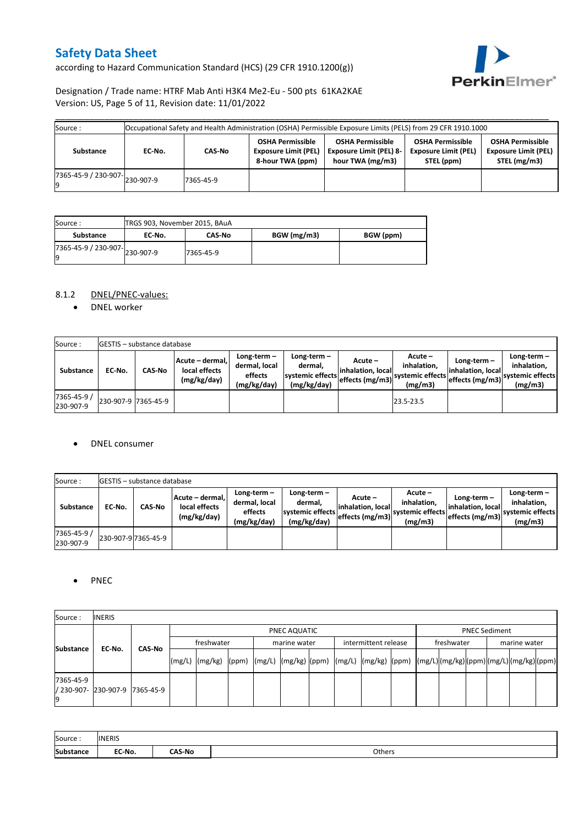according to Hazard Communication Standard (HCS) (29 CFR 1910.1200(g))



## Designation / Trade name: HTRF Mab Anti H3K4 Me2-Eu - 500 pts 61KA2KAE Version: US, Page 5 of 11, Revision date: 11/01/2022

| Occupational Safety and Health Administration (OSHA) Permissible Exposure Limits (PELS) from 29 CFR 1910.1000<br>Source: |        |           |                                                                            |                                                                               |                                                                      |                                                                        |  |  |  |
|--------------------------------------------------------------------------------------------------------------------------|--------|-----------|----------------------------------------------------------------------------|-------------------------------------------------------------------------------|----------------------------------------------------------------------|------------------------------------------------------------------------|--|--|--|
| Substance                                                                                                                | EC-No. | CAS-No    | <b>OSHA Permissible</b><br><b>Exposure Limit (PEL)</b><br>8-hour TWA (ppm) | <b>OSHA Permissible</b><br><b>Exposure Limit (PEL) 8-</b><br>hour TWA (mg/m3) | <b>OSHA Permissible</b><br><b>Exposure Limit (PEL)</b><br>STEL (ppm) | <b>OSHA Permissible</b><br><b>Exposure Limit (PEL)</b><br>STEL (mg/m3) |  |  |  |
| $17365 - 45 - 9$ / 230-907-<br>230-907-9                                                                                 |        | 7365-45-9 |                                                                            |                                                                               |                                                                      |                                                                        |  |  |  |

| Source:<br>TRGS 903, November 2015, BAuA |        |               |             |           |
|------------------------------------------|--------|---------------|-------------|-----------|
| Substance                                | EC No. | <b>CAS-No</b> | BGW (mg/m3) | BGW (ppm) |
| 7365-45-9 / 230-907-230-907-9<br>Ιg      |        | 7365-45-9     |             |           |

## 8.1.2 DNEL/PNEC-values:

• DNEL worker

| Source:                  |                     | <b>GESTIS</b> - substance database |                                                 |                                                       |                                                          |                                                  |                                                       |                                                         |                                                             |
|--------------------------|---------------------|------------------------------------|-------------------------------------------------|-------------------------------------------------------|----------------------------------------------------------|--------------------------------------------------|-------------------------------------------------------|---------------------------------------------------------|-------------------------------------------------------------|
| Substance                | EC No.              | <b>CAS-No</b>                      | Acute - dermal,<br>local effects<br>(mg/kg/day) | Long-term-<br>dermal, local<br>effects<br>(mg/kg/day) | Long-term-<br>dermal.<br>systemic effects<br>(mg/kg/day) | Acute –<br>linhalation. local<br>effects (mg/m3) | Acute –<br>inhalation.<br>systemic effects<br>(mg/m3) | Long-term $-$<br>linhalation. locall<br>effects (mg/m3) | $Long-term -$<br>inhalation,<br>systemic effects<br>(mg/m3) |
| 7365-45-9 /<br>230-907-9 | 230-907-9 7365-45-9 |                                    |                                                 |                                                       |                                                          |                                                  | 23.5-23.5                                             |                                                         |                                                             |

#### • DNEL consumer

| Source:                  |        | <b>GESTIS</b> - substance database |                                                 |                                                          |                                                             |                                                  |                                                       |                                                     |                                                          |
|--------------------------|--------|------------------------------------|-------------------------------------------------|----------------------------------------------------------|-------------------------------------------------------------|--------------------------------------------------|-------------------------------------------------------|-----------------------------------------------------|----------------------------------------------------------|
| <b>Substance</b>         | EC No. | <b>CAS-No</b>                      | Acute - dermal.<br>local effects<br>(mg/kg/day) | Long-term $-$<br>dermal. local<br>effects<br>(mg/kg/day) | Long-term $-$<br>dermal,<br>systemic effects<br>(mg/kg/day) | Acute –<br>linhalation. local<br>effects (mg/m3) | Acute -<br>inhalation.<br>systemic effects<br>(mg/m3) | Long-term-<br>linhalation. local<br>effects (mg/m3) | Long-term-<br>inhalation.<br>systemic effects<br>(mg/m3) |
| 7365-45-9 /<br>230-907-9 |        | 230-907-9 7365-45-9                |                                                 |                                                          |                                                             |                                                  |                                                       |                                                     |                                                          |

## • PNEC

| Source:          | <b>INERIS</b>                  |        |                    |  |              |  |                      |                                                                                                                                                                                                                                                                                                                                                                                                                                                                                                                       |            |                      |  |              |  |  |
|------------------|--------------------------------|--------|--------------------|--|--------------|--|----------------------|-----------------------------------------------------------------------------------------------------------------------------------------------------------------------------------------------------------------------------------------------------------------------------------------------------------------------------------------------------------------------------------------------------------------------------------------------------------------------------------------------------------------------|------------|----------------------|--|--------------|--|--|
|                  |                                |        |                    |  | PNEC AQUATIC |  |                      |                                                                                                                                                                                                                                                                                                                                                                                                                                                                                                                       |            | <b>PNEC Sediment</b> |  |              |  |  |
| <b>Substance</b> | EC-No.                         | CAS-No | freshwater         |  | marine water |  | intermittent release |                                                                                                                                                                                                                                                                                                                                                                                                                                                                                                                       | freshwater |                      |  | marine water |  |  |
|                  |                                |        | $(mg/L)$ $(mg/kg)$ |  |              |  |                      | $\lceil \frac{\text{pmm}}{\text{pmm}} \rceil \cdot \lceil \frac{\text{pmm}}{\text{pmm}} \rceil \cdot \lceil \frac{\text{pmm}}{\text{pmm}} \rceil \cdot \lceil \frac{\text{pmm}}{\text{pmm}} \rceil \cdot \lceil \frac{\text{pmm}}{\text{pmm}} \rceil \cdot \lceil \frac{\text{pmm}}{\text{pmm}} \rceil \cdot \lceil \frac{\text{pmm}}{\text{pmm}} \rceil \cdot \lceil \frac{\text{pmm}}{\text{pmm}} \rceil \cdot \lceil \frac{\text{pmm}}{\text{pmm}} \rceil \cdot \lceil \frac{\text{pmm}}{\text{pmm}} \rceil \cdot$ |            |                      |  |              |  |  |
| 7365-45-9<br>19  | / 230-907- 230-907-9 7365-45-9 |        |                    |  |              |  |                      |                                                                                                                                                                                                                                                                                                                                                                                                                                                                                                                       |            |                      |  |              |  |  |

| Source:   | <b>INERIS</b> |               |        |
|-----------|---------------|---------------|--------|
| Substance | EC-No.        | <b>CAS-No</b> | Others |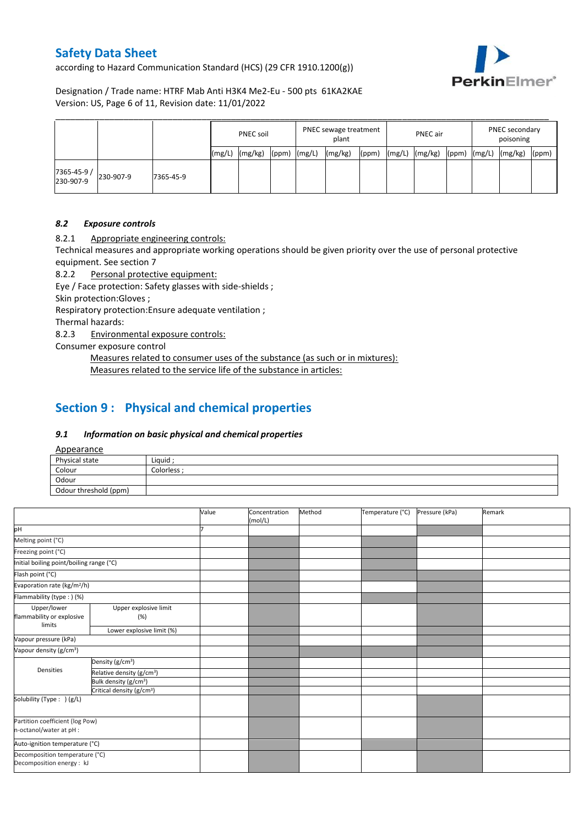according to Hazard Communication Standard (HCS) (29 CFR 1910.1200(g))



Designation / Trade name: HTRF Mab Anti H3K4 Me2-Eu - 500 pts 61KA2KAE Version: US, Page 6 of 11, Revision date: 11/01/2022

|                          |           |           |       | <b>PNEC soil</b> |       |        | PNEC sewage treatment<br>plant |       |        | PNEC air |       |        | PNEC secondary<br>poisoning |       |  |
|--------------------------|-----------|-----------|-------|------------------|-------|--------|--------------------------------|-------|--------|----------|-------|--------|-----------------------------|-------|--|
|                          |           |           | (mg/L | (mg/kg)          | (ppm) | (mg/L) | (mg/kg)                        | (ppm) | (mg/L) | (mg/kg)  | (ppm) | (mg/L) | (mg/kg)                     | (ppm) |  |
| 7365-45-9 /<br>230-907-9 | 230-907-9 | 7365-45-9 |       |                  |       |        |                                |       |        |          |       |        |                             |       |  |

### *8.2 Exposure controls*

8.2.1 Appropriate engineering controls:

Technical measures and appropriate working operations should be given priority over the use of personal protective equipment. See section 7

8.2.2 Personal protective equipment:

Eye / Face protection: Safety glasses with side-shields ;

Skin protection:Gloves ;

Respiratory protection:Ensure adequate ventilation ;

Thermal hazards:

8.2.3 Environmental exposure controls:

Consumer exposure control

Measures related to consumer uses of the substance (as such or in mixtures): Measures related to the service life of the substance in articles:

# **Section 9 : Physical and chemical properties**

#### *9.1 Information on basic physical and chemical properties*

Appearance

| $\frac{1}{2}$         |             |
|-----------------------|-------------|
| Physical state        | Liquid:     |
| Colour                | Colorless · |
| Odour                 |             |
| Odour threshold (ppm) |             |

|                                                             |                                       | Value | Concentration<br>(mol/L) | Method | Temperature (°C) | Pressure (kPa) | Remark |
|-------------------------------------------------------------|---------------------------------------|-------|--------------------------|--------|------------------|----------------|--------|
| pH                                                          |                                       |       |                          |        |                  |                |        |
| Melting point (°C)                                          |                                       |       |                          |        |                  |                |        |
| Freezing point (°C)                                         |                                       |       |                          |        |                  |                |        |
| Initial boiling point/boiling range (°C)                    |                                       |       |                          |        |                  |                |        |
| Flash point (°C)                                            |                                       |       |                          |        |                  |                |        |
| Evaporation rate (kg/m <sup>2</sup> /h)                     |                                       |       |                          |        |                  |                |        |
| Flammability (type:) (%)                                    |                                       |       |                          |        |                  |                |        |
| Upper/lower<br>flammability or explosive<br>limits          | Upper explosive limit<br>(%)          |       |                          |        |                  |                |        |
|                                                             | Lower explosive limit (%)             |       |                          |        |                  |                |        |
| Vapour pressure (kPa)                                       |                                       |       |                          |        |                  |                |        |
| Vapour density (g/cm <sup>3</sup> )                         |                                       |       |                          |        |                  |                |        |
|                                                             | Density (g/cm <sup>3</sup> )          |       |                          |        |                  |                |        |
| <b>Densities</b>                                            | Relative density (g/cm <sup>3</sup> ) |       |                          |        |                  |                |        |
|                                                             | Bulk density (g/cm <sup>3</sup> )     |       |                          |        |                  |                |        |
|                                                             | Critical density (g/cm <sup>3</sup> ) |       |                          |        |                  |                |        |
| Solubility (Type: ) (g/L)                                   |                                       |       |                          |        |                  |                |        |
| Partition coefficient (log Pow)                             |                                       |       |                          |        |                  |                |        |
| n-octanol/water at pH :                                     |                                       |       |                          |        |                  |                |        |
| Auto-ignition temperature (°C)                              |                                       |       |                          |        |                  |                |        |
| Decomposition temperature (°C)<br>Decomposition energy : kJ |                                       |       |                          |        |                  |                |        |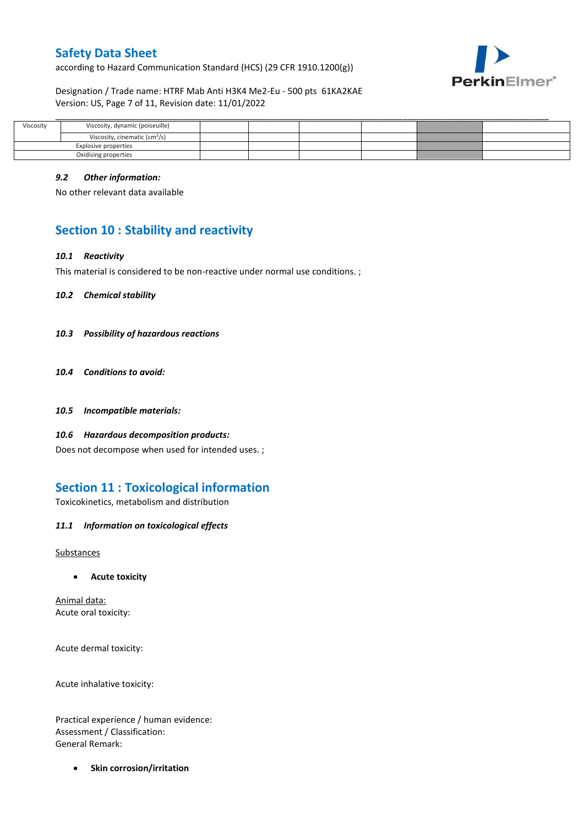according to Hazard Communication Standard (HCS) (29 CFR 1910.1200(g))



Designation / Trade name: HTRF Mab Anti H3K4 Me2-Eu - 500 pts 61KA2KAE Version: US, Page 7 of 11, Revision date: 11/01/2022

| Viscosity            | Viscosity, dynamic (poiseuille)           |  |  |  |
|----------------------|-------------------------------------------|--|--|--|
|                      | Viscosity, cinematic (cm <sup>3</sup> /s) |  |  |  |
| Explosive properties |                                           |  |  |  |
| Oxidising properties |                                           |  |  |  |

### *9.2 Other information:*

No other relevant data available

# **Section 10 : Stability and reactivity**

### *10.1 Reactivity*

This material is considered to be non-reactive under normal use conditions. ;

*10.2 Chemical stability*

- *10.3 Possibility of hazardous reactions*
- *10.4 Conditions to avoid:*
- *10.5 Incompatible materials:*
- *10.6 Hazardous decomposition products:*

Does not decompose when used for intended uses. ;

## **Section 11 : Toxicological information**

Toxicokinetics, metabolism and distribution

*11.1 Information on toxicological effects*

Substances

**Acute toxicity**

Animal data: Acute oral toxicity:

Acute dermal toxicity:

Acute inhalative toxicity:

Practical experience / human evidence: Assessment / Classification: General Remark:

**•** Skin corrosion/irritation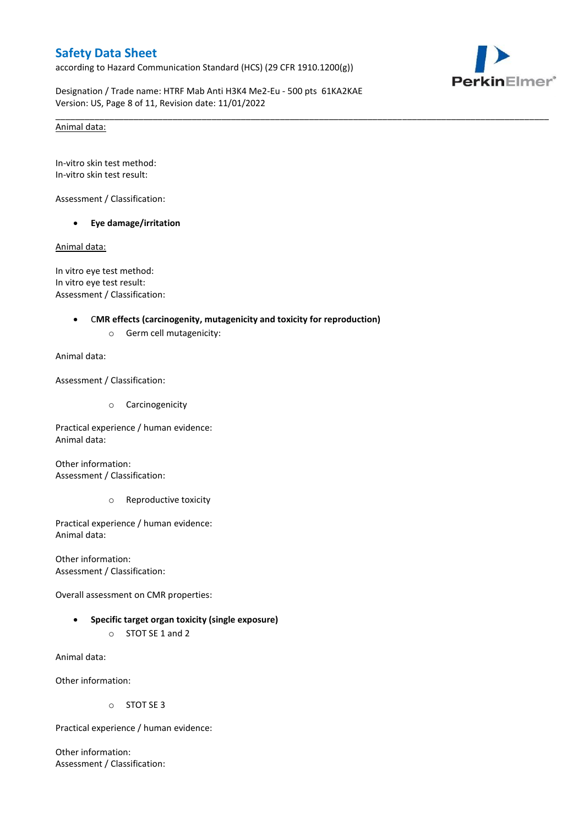according to Hazard Communication Standard (HCS) (29 CFR 1910.1200(g))



Designation / Trade name: HTRF Mab Anti H3K4 Me2-Eu - 500 pts 61KA2KAE Version: US, Page 8 of 11, Revision date: 11/01/2022

\_\_\_\_\_\_\_\_\_\_\_\_\_\_\_\_\_\_\_\_\_\_\_\_\_\_\_\_\_\_\_\_\_\_\_\_\_\_\_\_\_\_\_\_\_\_\_\_\_\_\_\_\_\_\_\_\_\_\_\_\_\_\_\_\_\_\_\_\_\_\_\_\_\_\_\_\_\_\_\_\_\_\_\_\_\_\_\_\_\_\_\_\_\_\_\_\_\_\_\_\_

### Animal data:

In-vitro skin test method: In-vitro skin test result:

Assessment / Classification:

**Eye damage/irritation**

Animal data:

In vitro eye test method: In vitro eye test result: Assessment / Classification:

### C**MR effects (carcinogenity, mutagenicity and toxicity for reproduction)**

o Germ cell mutagenicity:

Animal data:

Assessment / Classification:

o Carcinogenicity

Practical experience / human evidence: Animal data:

Other information: Assessment / Classification:

o Reproductive toxicity

Practical experience / human evidence: Animal data:

Other information: Assessment / Classification:

Overall assessment on CMR properties:

 **Specific target organ toxicity (single exposure)** o STOT SE 1 and 2

Animal data:

Other information:

o STOT SE 3

Practical experience / human evidence:

Other information: Assessment / Classification: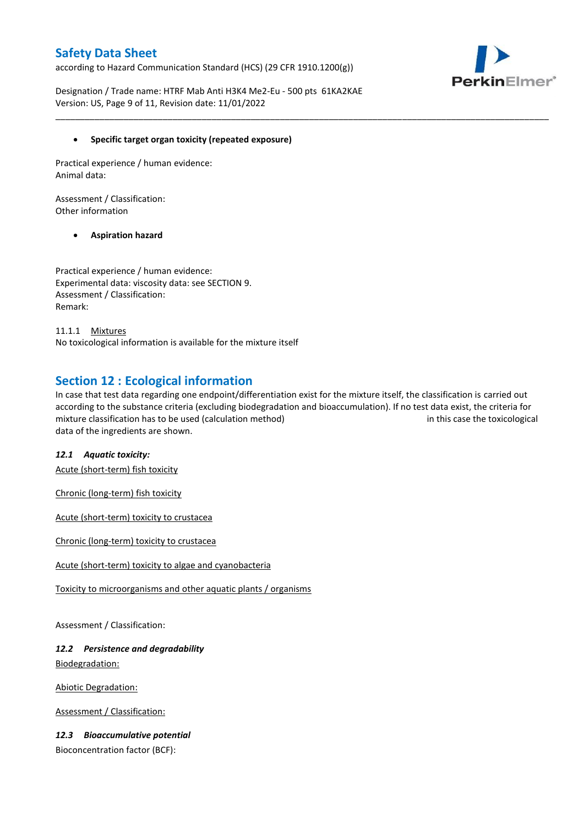according to Hazard Communication Standard (HCS) (29 CFR 1910.1200(g))



Designation / Trade name: HTRF Mab Anti H3K4 Me2-Eu - 500 pts 61KA2KAE Version: US, Page 9 of 11, Revision date: 11/01/2022

### **Specific target organ toxicity (repeated exposure)**

Practical experience / human evidence: Animal data:

Assessment / Classification: Other information

### **Aspiration hazard**

Practical experience / human evidence: Experimental data: viscosity data: see SECTION 9. Assessment / Classification: Remark:

11.1.1 Mixtures No toxicological information is available for the mixture itself

## **Section 12 : Ecological information**

In case that test data regarding one endpoint/differentiation exist for the mixture itself, the classification is carried out according to the substance criteria (excluding biodegradation and bioaccumulation). If no test data exist, the criteria for mixture classification has to be used (calculation method) in this case the toxicological data of the ingredients are shown.

\_\_\_\_\_\_\_\_\_\_\_\_\_\_\_\_\_\_\_\_\_\_\_\_\_\_\_\_\_\_\_\_\_\_\_\_\_\_\_\_\_\_\_\_\_\_\_\_\_\_\_\_\_\_\_\_\_\_\_\_\_\_\_\_\_\_\_\_\_\_\_\_\_\_\_\_\_\_\_\_\_\_\_\_\_\_\_\_\_\_\_\_\_\_\_\_\_\_\_\_\_

#### *12.1 Aquatic toxicity:*

Acute (short-term) fish toxicity

Chronic (long-term) fish toxicity

Acute (short-term) toxicity to crustacea

Chronic (long-term) toxicity to crustacea

Acute (short-term) toxicity to algae and cyanobacteria

Toxicity to microorganisms and other aquatic plants / organisms

Assessment / Classification:

## *12.2 Persistence and degradability* Biodegradation:

Abiotic Degradation:

Assessment / Classification:

## *12.3 Bioaccumulative potential*

Bioconcentration factor (BCF):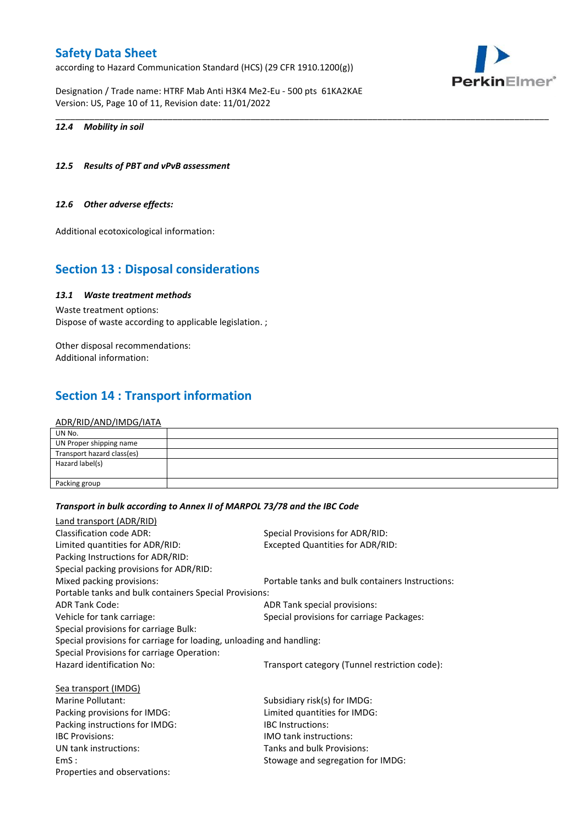according to Hazard Communication Standard (HCS) (29 CFR 1910.1200(g))

Designation / Trade name: HTRF Mab Anti H3K4 Me2-Eu - 500 pts 61KA2KAE Version: US, Page 10 of 11, Revision date: 11/01/2022



### *12.4 Mobility in soil*

### *12.5 Results of PBT and vPvB assessment*

#### *12.6 Other adverse effects:*

Additional ecotoxicological information:

## **Section 13 : Disposal considerations**

## *13.1 Waste treatment methods*

Waste treatment options: Dispose of waste according to applicable legislation. ;

Other disposal recommendations: Additional information:

# **Section 14 : Transport information**

#### ADR/RID/AND/IMDG/IATA

| UN No.                     |  |
|----------------------------|--|
| UN Proper shipping name    |  |
| Transport hazard class(es) |  |
| Hazard label(s)            |  |
|                            |  |
| Packing group              |  |

\_\_\_\_\_\_\_\_\_\_\_\_\_\_\_\_\_\_\_\_\_\_\_\_\_\_\_\_\_\_\_\_\_\_\_\_\_\_\_\_\_\_\_\_\_\_\_\_\_\_\_\_\_\_\_\_\_\_\_\_\_\_\_\_\_\_\_\_\_\_\_\_\_\_\_\_\_\_\_\_\_\_\_\_\_\_\_\_\_\_\_\_\_\_\_\_\_\_\_\_\_

#### *Transport in bulk according to Annex II of MARPOL 73/78 and the IBC Code*

| Land transport (ADR/RID)                                             |                                                  |  |  |
|----------------------------------------------------------------------|--------------------------------------------------|--|--|
| Classification code ADR:                                             | Special Provisions for ADR/RID:                  |  |  |
| Limited quantities for ADR/RID:                                      | <b>Excepted Quantities for ADR/RID:</b>          |  |  |
| Packing Instructions for ADR/RID:                                    |                                                  |  |  |
| Special packing provisions for ADR/RID:                              |                                                  |  |  |
| Mixed packing provisions:                                            | Portable tanks and bulk containers Instructions: |  |  |
| Portable tanks and bulk containers Special Provisions:               |                                                  |  |  |
| <b>ADR Tank Code:</b>                                                | ADR Tank special provisions:                     |  |  |
| Vehicle for tank carriage:                                           | Special provisions for carriage Packages:        |  |  |
| Special provisions for carriage Bulk:                                |                                                  |  |  |
| Special provisions for carriage for loading, unloading and handling: |                                                  |  |  |
| Special Provisions for carriage Operation:                           |                                                  |  |  |
| Hazard identification No:                                            | Transport category (Tunnel restriction code):    |  |  |
| Sea transport (IMDG)                                                 |                                                  |  |  |
| Marine Pollutant:                                                    | Subsidiary risk(s) for IMDG:                     |  |  |
| Packing provisions for IMDG:                                         | Limited quantities for IMDG:                     |  |  |
| Packing instructions for IMDG:                                       | <b>IBC</b> Instructions:                         |  |  |
| <b>IBC Provisions:</b>                                               | <b>IMO tank instructions:</b>                    |  |  |
| UN tank instructions:                                                | Tanks and bulk Provisions:                       |  |  |
| EmS:                                                                 | Stowage and segregation for IMDG:                |  |  |
| Properties and observations:                                         |                                                  |  |  |